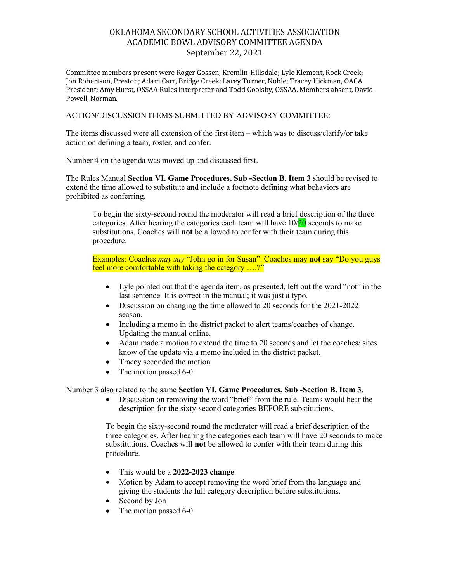# OKLAHOMA SECONDARY SCHOOL ACTIVITIES ASSOCIATION ACADEMIC BOWL ADVISORY COMMITTEE AGENDA September 22, 2021

Committee members present were Roger Gossen, Kremlin-Hillsdale; Lyle Klement, Rock Creek; Jon Robertson, Preston; Adam Carr, Bridge Creek; Lacey Turner, Noble; Tracey Hickman, OACA President; Amy Hurst, OSSAA Rules Interpreter and Todd Goolsby, OSSAA. Members absent, David Powell, Norman.

### ACTION/DISCUSSION ITEMS SUBMITTED BY ADVISORY COMMITTEE:

The items discussed were all extension of the first item – which was to discuss/clarify/or take action on defining a team, roster, and confer.

Number 4 on the agenda was moved up and discussed first.

The Rules Manual **Section VI. Game Procedures, Sub -Section B. Item 3** should be revised to extend the time allowed to substitute and include a footnote defining what behaviors are prohibited as conferring.

To begin the sixty-second round the moderator will read a brief description of the three categories. After hearing the categories each team will have  $10/20$  seconds to make substitutions. Coaches will **not** be allowed to confer with their team during this procedure.

Examples: Coaches *may say* "John go in for Susan". Coaches may **not** say "Do you guys feel more comfortable with taking the category ….?"

- Lyle pointed out that the agenda item, as presented, left out the word "not" in the last sentence. It is correct in the manual; it was just a typo.
- Discussion on changing the time allowed to 20 seconds for the 2021-2022 season.
- Including a memo in the district packet to alert teams/coaches of change. Updating the manual online.
- Adam made a motion to extend the time to 20 seconds and let the coaches/ sites know of the update via a memo included in the district packet.
- Tracey seconded the motion
- The motion passed 6-0

#### Number 3 also related to the same **Section VI. Game Procedures, Sub -Section B. Item 3.**

• Discussion on removing the word "brief" from the rule. Teams would hear the description for the sixty-second categories BEFORE substitutions.

To begin the sixty-second round the moderator will read a brief description of the three categories. After hearing the categories each team will have 20 seconds to make substitutions. Coaches will **not** be allowed to confer with their team during this procedure.

- This would be a **2022-2023 change**.
- Motion by Adam to accept removing the word brief from the language and giving the students the full category description before substitutions.
- Second by Jon
- The motion passed 6-0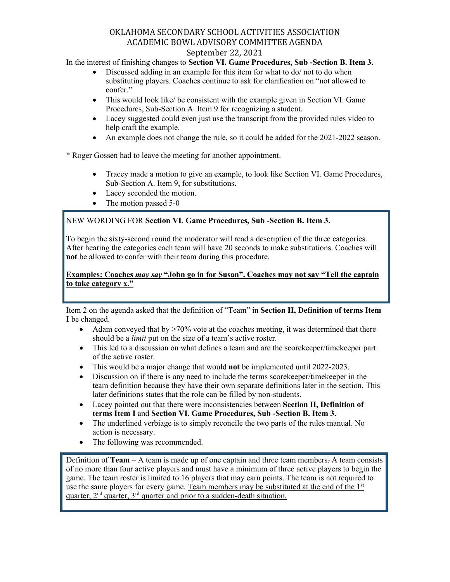## OKLAHOMA SECONDARY SCHOOL ACTIVITIES ASSOCIATION ACADEMIC BOWL ADVISORY COMMITTEE AGENDA September 22, 2021

In the interest of finishing changes to **Section VI. Game Procedures, Sub -Section B. Item 3.**

- Discussed adding in an example for this item for what to do/ not to do when substituting players. Coaches continue to ask for clarification on "not allowed to confer."
- This would look like/ be consistent with the example given in Section VI. Game Procedures, Sub-Section A. Item 9 for recognizing a student.
- Lacey suggested could even just use the transcript from the provided rules video to help craft the example.
- An example does not change the rule, so it could be added for the 2021-2022 season.

\* Roger Gossen had to leave the meeting for another appointment.

- Tracey made a motion to give an example, to look like Section VI. Game Procedures, Sub-Section A. Item 9, for substitutions.
- Lacey seconded the motion.
- The motion passed 5-0

## NEW WORDING FOR **Section VI. Game Procedures, Sub -Section B. Item 3.**

To begin the sixty-second round the moderator will read a description of the three categories. After hearing the categories each team will have 20 seconds to make substitutions. Coaches will **not** be allowed to confer with their team during this procedure.

## **Examples: Coaches** *may say* **"John go in for Susan". Coaches may not say "Tell the captain to take category x."**

Item 2 on the agenda asked that the definition of "Team" in **Section II, Definition of terms Item I** be changed.

- Adam conveyed that by  $>70\%$  vote at the coaches meeting, it was determined that there should be a *limit* put on the size of a team's active roster.
- This led to a discussion on what defines a team and are the scorekeeper/timekeeper part of the active roster.
- This would be a major change that would **not** be implemented until 2022-2023.
- Discussion on if there is any need to include the terms scorekeeper/timekeeper in the team definition because they have their own separate definitions later in the section. This later definitions states that the role can be filled by non-students.
- Lacey pointed out that there were inconsistencies between **Section II, Definition of terms Item I** and **Section VI. Game Procedures, Sub -Section B. Item 3.**
- The underlined verbiage is to simply reconcile the two parts of the rules manual. No action is necessary.
- The following was recommended.

Definition of **Team** – A team is made up of one captain and three team members. A team consists of no more than four active players and must have a minimum of three active players to begin the game. The team roster is limited to 16 players that may earn points. The team is not required to use the same players for every game. Team members may be substituted at the end of the  $1<sup>st</sup>$ quarter,  $2<sup>nd</sup>$  quarter,  $3<sup>rd</sup>$  quarter and prior to a sudden-death situation.